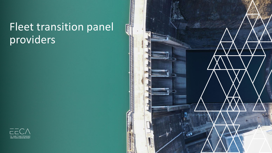# Fleet transition panel providers



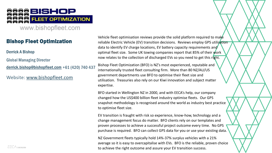

www.bishopfleet.com

#### Bishop Fleet Optimization

Derrick A Bishop

**Global Managing Director** 

[derrick.bishop@bishopfleet.com](mailto:derrick.bishop@bishopfleet.com) +61 (420) 740 437

Website: [www.bishopfleet.com](http://www.bishopfleet.com/)

Vehicle fleet optimisation reviews provide the solid platform required to make reliable Electric Vehicle (EV) transition decisions. Reviews employ GPS utilisation data to identify EV charge locations, EV battery capacity requirements and optimal fleet size. Some UK towing companies report that 85% of their work now relates to the collection of discharged EVs so you need to get this right.

Bishop Fleet Optimization (BFO) is NZ's most experienced, reputable and internationally trusted fleet consulting firm. More than 80 NZ/AU/US government departments use BFO to optimise their fleet size and utilisation. Treasuries also rely on our Kiwi innovation and subject matter expertise.

BFO started in Wellington NZ in 2000, and with EECA's help, our company changed how the US\$400 billion fleet industry optimise fleets. Our GPS snapshot methodology is recognised around the world as industry best practice to optimise fleet size.

EV transition is fraught with risk so experience, know-how, technology and a change management focus do matter. BFO clients rely on our templates and proven processes to achieve a successful project outcome every time. No GPS purchase is required. BFO can collect GPS data for you or use your existing data.

NZ Government fleets typically hold 14%-37% surplus vehicles with a 21% average so it is easy to overcapitalise with EVs. BFO is the reliable, proven choice to achieve the right outcome and assure your EV transition success.

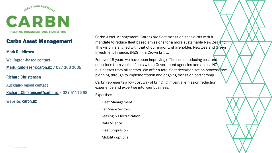

## Carbn Asset Management

#### Mark Ruddlesen

**Wellington-based contact** [Mark.Ruddlesen@carbn.nz](mailto:Mark.Ruddlesen@carbn.nz) / 027 300 2005

Richard Christensen

**Auckland-based contact** 

[Richard.Christensen@carbn.nz](mailto:Richard.Christensen@carbn.nz) / 027 5111 568

Website: [carbn.nz](https://carbn.nz/)

Carbn Asset Management (Carbn) are fleet transition specialists with a mandate to reduce fleet based emissions for a more sustainable New Zealand. This vision is aligned with that of our majority shareholder, New Zealand Green Investment Finance, (NZGIF), a Crown Entity.

For over 15 years we have been improving efficiencies, reducing cost and emissions from vehicle fleets within Government agencies and across NZ businesses from all sectors. We offer a total fleet decarbonisation process from planning through to implementation and ongoing transition partnership.

Carbn represents a low cost way of bringing impartial emission reduction experience and expertise into your business.

- Fleet Management
- Car Share Sectors
- Leasing & Electrification
- Data Science
- Fleet propulsion
- Mobility options

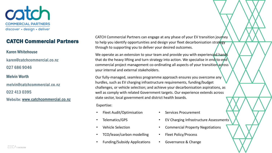

### CATCH Commercial Partners

#### Karen Whitehouse

karen@catchcommercial.co.nz 027 686 9046

#### Melvin Worth

melvin@catchcommercial.co.nz 022 413 0395

Website: [www.catchcommercial.co.nz](https://www.catchcommercial.co.nz/)

CATCH Commercial Partners can engage at any phase of your EV transition journey to help you identify opportunities and design your fleet decarbonisation strategy through to supporting you to deliver your desired outcomes.

We operate as an extension to your team and provide you with experienced hands that do the heavy lifting and turn strategy into action. We specialise in end-to-end commercial project management co-ordinating all aspects of your transition across your internal and external stakeholders.

Our fully-managed, seamless programme approach ensures you overcome any hurdles, such as EV charging infrastructure requirements, funding/budget challenges, or vehicle selection; and achieve your decarbonisation aspirations, as well as comply with related Government targets. Our experience extends across state sector, local government and district health boards.

- Fleet Audit/Optimisation
- Telematics/GPS
- Vehicle Selection
- TCO/lease/carbon modelling
- Funding/Subsidy Applications
- Services Procurement
- EV Charging Infrastructure Assessments
- Commercial Property Negotiations
- Fleet Policy/Process
- Governance & Change

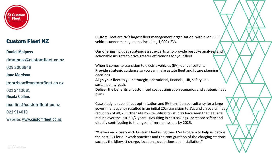

# Custom Fleet NZ

Daniel Malpass

[dmalpass@customfleet.co.nz](mailto:dmalpass@customfleet.co.nz)

029 2006846

Jane Morrison

[jmorrison@customfleet.co.nz](mailto:dmalpass@customfleet.co.nz)

021 2413061

Nicola Collins

[ncollins@customfleet.co.nz](mailto:dmalpass@customfleet.co.nz)

021914010

Website: [www.customfleet.co.nz](https://www.customfleet.co.nz/index.html)

Custom Fleet are NZ's largest fleet management organisation, with over 35,000 vehicles under management, including 1,000+ EVs.

Our offering includes strategic asset experts who provide bespoke analyses and actionable insights to drive greater efficiencies for your fleet.

When it comes to transition to electric vehicles (EV), our consultants: **Provide strategic guidance** so you can make astute fleet and future planning decisions

**Align your fleet** to your strategic, operational, financial, HR, safety and sustainability goals

**Deliver the benefits** of customised cost optimisation scenarios and strategic fleet plans

Case study: a recent fleet optimisation and EV transition consultancy for a large government agency resulted in an initial 20% transition to EVs and an overall fleet reduction of 40%. Further site by site utilisation studies have seen the fleet size reduce over the last 2 1/2 years - Resulting in cost savings, increased safety and directly contributing to their goal of zero emissions by 2025.

"We worked closely with Custom Fleet using their EV+ Program to help us decide the best EVs for our work practices and the configuration of the charging stations, such as the kilowatt charge, locations, quotations and installation."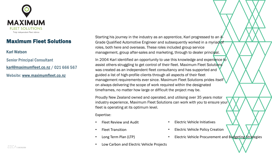

### Maximum Fleet Solutions

#### Karl Watson

**Senior Principal Consultant** [karl@maximumfleet.co.nz](mailto:karl@maximumfleet.co.nz) / 021 666 567 Website: [www.maximumfleet.co.nz](https://www.maximumfleet.co.nz/)

Starting his journey in the industry as an apprentice, Karl progressed to an A-Grade Qualified Automotive Engineer and subsequently worked in a myriad of roles, both here and overseas. These roles included group service management, group after-sales and marketing, through to dealer principal.

In 2004 Karl identified an opportunity to use this knowledge and experience to assist others struggling to get control of their fleet. Maximum Fleet Solutions was created as an independent fleet consultancy and has supported and guided a list of high-profile clients through all aspects of their fleet management requirements ever since. Maximum Fleet Solutions prides itself on always delivering the scope of work required within the designated timeframes, no matter how large or difficult the project may be.

Proudly New Zealand owned and operated, and utilising over 35 years motor industry experience, Maximum Fleet Solutions can work with you to ensure your fleet is operating at its optimum level.

- Fleet Review and Audit
- Fleet Transition
- Long Term Plan (LTP)
- Low Carbon and Electric Vehicle Projects
- Electric Vehicle Initiatives
- Electric Vehicle Policy Creation
- Electric Vehicle Procurement and Budgeting Strategies

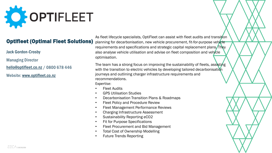

# Optifleet (Optimal Fleet Solutions)

Jack Gordon-Crosby

**Managing Director** 

[hello@optifleet.co.nz](mailto:hello@optifleet.co.nz) / 0800 678 446

Website: [www.optifleet.co.nz](https://www.optifleet.co.nz/)

As fleet lifecycle specialists, OptiFleet can assist with fleet audits and transition planning for decarbonisation, new vehicle procurement, fit-for-purpose vehicle requirements and specifications and strategic capital replacement plans. They also analyse vehicle utilisation and advise on fleet composition and vehicle optimisation.

The team has a strong focus on improving the sustainability of fleets, assisting with the transition to electric vehicles by developing tailored decarbonisation journeys and outlining charger infrastructure requirements and recommendations.

- **Fleet Audits**
- GPS Utilisation Studies
- Decarbonisation Transition Plans & Roadmaps
- Fleet Policy and Procedure Review
- Fleet Management Performance Reviews
- Charging Infrastructure Assessment
- Sustainability Reporting eCO2
- **Fit for Purpose Specifications**
- Fleet Procurement and Bid Management
- Total Cost of Ownership Modelling
- Future Trends Reporting

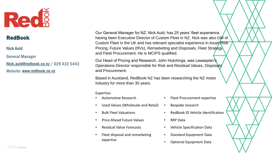

#### RedBook

#### Nick Auld

**General Manager** 

[Nick.auld@redbook.co.nz](mailto:Nick.auld@redbook.co.nz) / 029 432 5443 Website: [www.redbook.co.nz](https://www.redbook.co.nz/index.php)

Our General Manager for NZ, Nick Auld, has 25 years' fleet experience having been Executive Director of Custom Fleet in NZ. Nick was also GM of Custom Fleet in the UK and has relevant specialist experience in Asset Risk Pricing, Future Values (RVs), Remarketing and Disposals, Fleet Strategy and Fleet Procurement. He is MCIPS qualified.

Our Head of Pricing and Research, John Hutchings, was Leaseplan's Operations Director responsible for Risk and Residual Values, Disposals and Procurement.

Based in Auckland, RedBook NZ has been researching the NZ motor industry for more than 30 years.

- Automotive Research
- Used Values (Wholesale and Retail)
- Bulk Fleet Valuations
- Price Ahead Future Values
- Residual Value Forecasts
- Fleet disposal and remarketing expertise
- Fleet Procurement expertise
- Bespoke research
- RedBook ID Vehicle Identification
- RRP Data
- Vehicle Specification Data
- Standard Equipment Data
- Optional Equipment Data

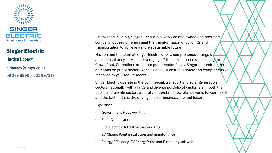

#### Singer Electric

Hayden Dooney

[h.dooney@singer.co.nz](mailto:h.dooney@singer.co.nz) 09 379 9990 / 021 997313 Established in 1953, Singer Electric is a New Zealand owned and operated company focused on energising the transformation of buildings and transportation to achieve a more sustainable future.

Hayden and the team at Singer Electric offer a comprehensive range of fleet audit consultancy services. Leveraging off their experience transitioning the Crown fleet, Corrections and other public sector fleets, Singer understand the demands on public sector agencies and will ensure a timely and comprehensive response to your requirements.

Singer Electric operate in the commercial, transport and solar generation sectors nationally, with a large and diverse portfolio of customers in both the public and private sectors and fully understand how vital power is to your needs and the fact that it is the driving force of business, life and leisure.

- Government Fleet Auditing
- Fleet Optimisation
- Site electrical Infrastructure auditing
- EV Charge Point installation and maintenance
- Energy Efficiency, EV ChargePoint and E-mobility software